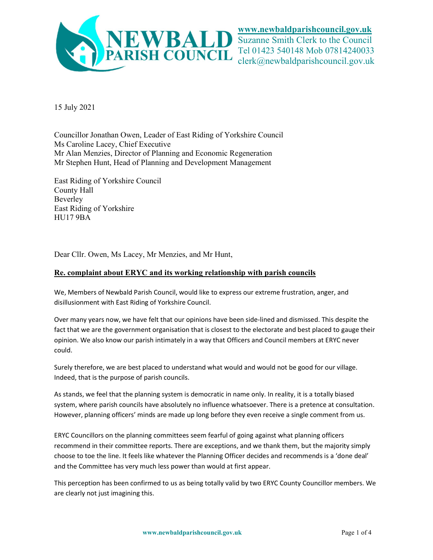

www.newbaldparishcouncil.gov.uk

Suzanne Smith Clerk to the Council Tel 01423 540148 Mob 07814240033 clerk@newbaldparishcouncil.gov.uk

15 July 2021

Councillor Jonathan Owen, Leader of East Riding of Yorkshire Council Ms Caroline Lacey, Chief Executive Mr Alan Menzies, Director of Planning and Economic Regeneration Mr Stephen Hunt, Head of Planning and Development Management

East Riding of Yorkshire Council County Hall Beverley East Riding of Yorkshire HU17 9BA

Dear Cllr. Owen, Ms Lacey, Mr Menzies, and Mr Hunt,

## Re. complaint about ERYC and its working relationship with parish councils

We, Members of Newbald Parish Council, would like to express our extreme frustration, anger, and disillusionment with East Riding of Yorkshire Council.

Over many years now, we have felt that our opinions have been side-lined and dismissed. This despite the fact that we are the government organisation that is closest to the electorate and best placed to gauge their opinion. We also know our parish intimately in a way that Officers and Council members at ERYC never could.

Surely therefore, we are best placed to understand what would and would not be good for our village. Indeed, that is the purpose of parish councils.

As stands, we feel that the planning system is democratic in name only. In reality, it is a totally biased system, where parish councils have absolutely no influence whatsoever. There is a pretence at consultation. However, planning officers' minds are made up long before they even receive a single comment from us.

ERYC Councillors on the planning committees seem fearful of going against what planning officers recommend in their committee reports. There are exceptions, and we thank them, but the majority simply choose to toe the line. It feels like whatever the Planning Officer decides and recommends is a 'done deal' and the Committee has very much less power than would at first appear.

This perception has been confirmed to us as being totally valid by two ERYC County Councillor members. We are clearly not just imagining this.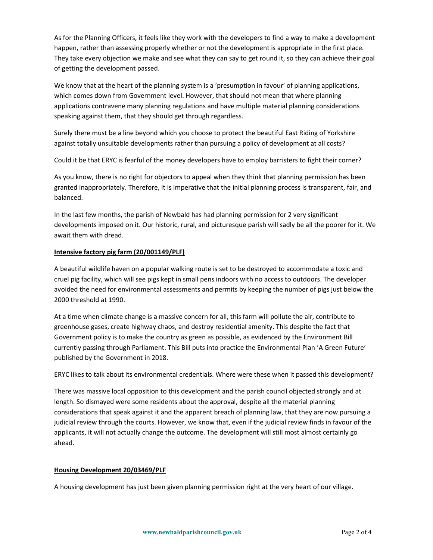As for the Planning Officers, it feels like they work with the developers to find a way to make a development happen, rather than assessing properly whether or not the development is appropriate in the first place. They take every objection we make and see what they can say to get round it, so they can achieve their goal of getting the development passed.

We know that at the heart of the planning system is a 'presumption in favour' of planning applications, which comes down from Government level. However, that should not mean that where planning applications contravene many planning regulations and have multiple material planning considerations speaking against them, that they should get through regardless.

Surely there must be a line beyond which you choose to protect the beautiful East Riding of Yorkshire against totally unsuitable developments rather than pursuing a policy of development at all costs?

Could it be that ERYC is fearful of the money developers have to employ barristers to fight their corner?

As you know, there is no right for objectors to appeal when they think that planning permission has been granted inappropriately. Therefore, it is imperative that the initial planning process is transparent, fair, and balanced.

In the last few months, the parish of Newbald has had planning permission for 2 very significant developments imposed on it. Our historic, rural, and picturesque parish will sadly be all the poorer for it. We await them with dread.

## Intensive factory pig farm (20/001149/PLF)

A beautiful wildlife haven on a popular walking route is set to be destroyed to accommodate a toxic and cruel pig facility, which will see pigs kept in small pens indoors with no access to outdoors. The developer avoided the need for environmental assessments and permits by keeping the number of pigs just below the 2000 threshold at 1990.

At a time when climate change is a massive concern for all, this farm will pollute the air, contribute to greenhouse gases, create highway chaos, and destroy residential amenity. This despite the fact that Government policy is to make the country as green as possible, as evidenced by the Environment Bill currently passing through Parliament. This Bill puts into practice the Environmental Plan 'A Green Future' published by the Government in 2018.

ERYC likes to talk about its environmental credentials. Where were these when it passed this development?

There was massive local opposition to this development and the parish council objected strongly and at length. So dismayed were some residents about the approval, despite all the material planning considerations that speak against it and the apparent breach of planning law, that they are now pursuing a judicial review through the courts. However, we know that, even if the judicial review finds in favour of the applicants, it will not actually change the outcome. The development will still most almost certainly go ahead.

## Housing Development 20/03469/PLF

A housing development has just been given planning permission right at the very heart of our village.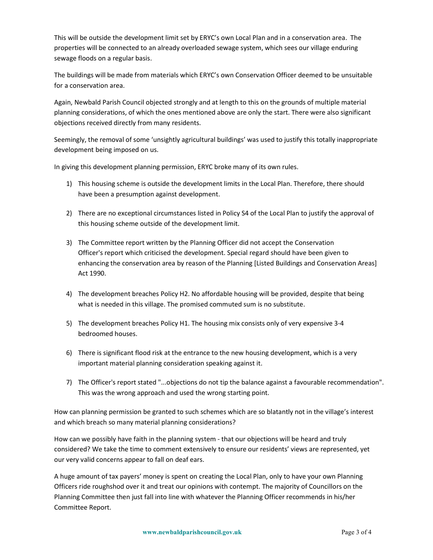This will be outside the development limit set by ERYC's own Local Plan and in a conservation area. The properties will be connected to an already overloaded sewage system, which sees our village enduring sewage floods on a regular basis.

The buildings will be made from materials which ERYC's own Conservation Officer deemed to be unsuitable for a conservation area.

Again, Newbald Parish Council objected strongly and at length to this on the grounds of multiple material planning considerations, of which the ones mentioned above are only the start. There were also significant objections received directly from many residents.

Seemingly, the removal of some 'unsightly agricultural buildings' was used to justify this totally inappropriate development being imposed on us.

In giving this development planning permission, ERYC broke many of its own rules.

- 1) This housing scheme is outside the development limits in the Local Plan. Therefore, there should have been a presumption against development.
- 2) There are no exceptional circumstances listed in Policy S4 of the Local Plan to justify the approval of this housing scheme outside of the development limit.
- 3) The Committee report written by the Planning Officer did not accept the Conservation Officer's report which criticised the development. Special regard should have been given to enhancing the conservation area by reason of the Planning [Listed Buildings and Conservation Areas] Act 1990.
- 4) The development breaches Policy H2. No affordable housing will be provided, despite that being what is needed in this village. The promised commuted sum is no substitute.
- 5) The development breaches Policy H1. The housing mix consists only of very expensive 3-4 bedroomed houses.
- 6) There is significant flood risk at the entrance to the new housing development, which is a very important material planning consideration speaking against it.
- 7) The Officer's report stated "...objections do not tip the balance against a favourable recommendation". This was the wrong approach and used the wrong starting point.

How can planning permission be granted to such schemes which are so blatantly not in the village's interest and which breach so many material planning considerations?

How can we possibly have faith in the planning system - that our objections will be heard and truly considered? We take the time to comment extensively to ensure our residents' views are represented, yet our very valid concerns appear to fall on deaf ears.

A huge amount of tax payers' money is spent on creating the Local Plan, only to have your own Planning Officers ride roughshod over it and treat our opinions with contempt. The majority of Councillors on the Planning Committee then just fall into line with whatever the Planning Officer recommends in his/her Committee Report.